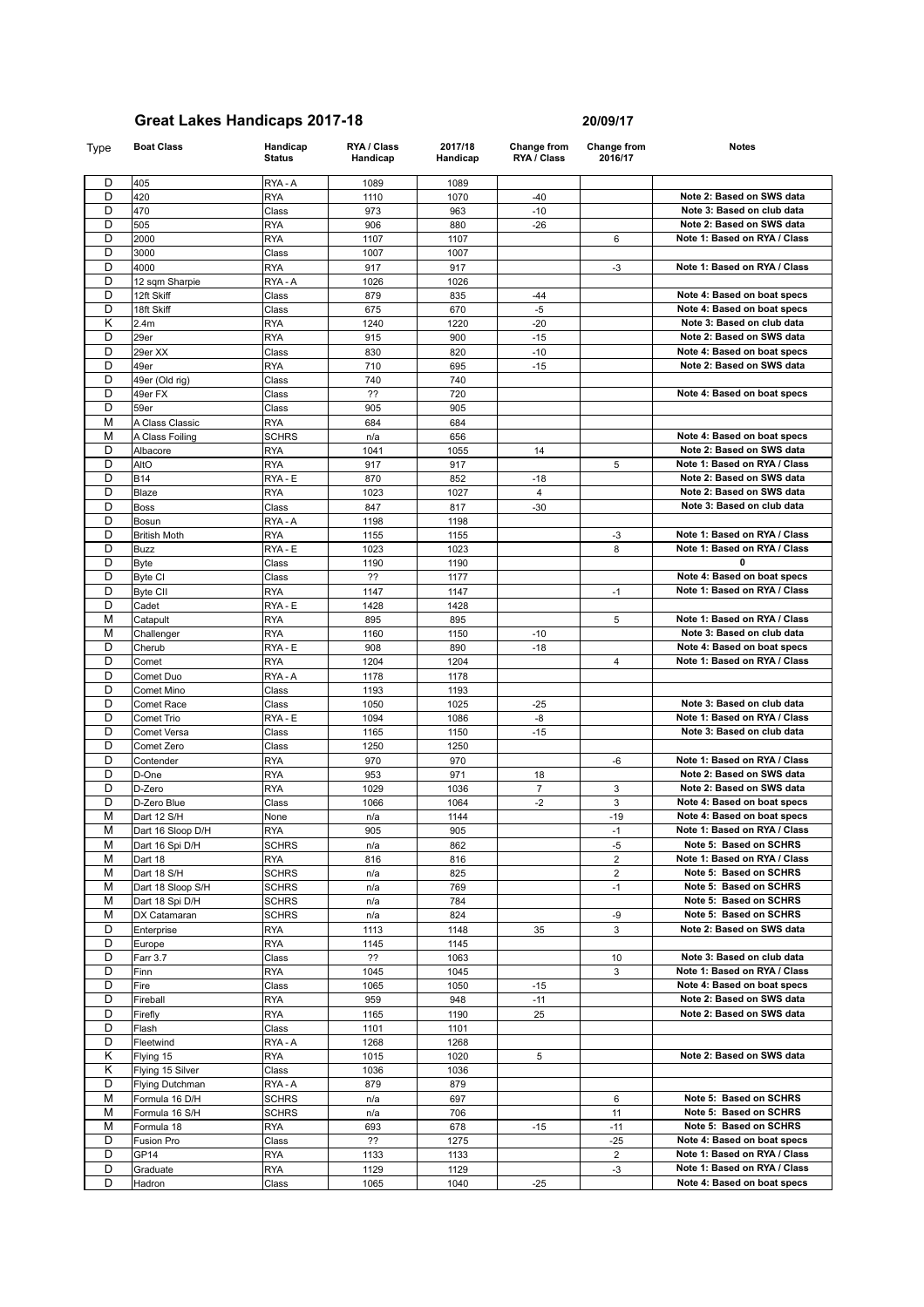| Type   | <b>Boat Class</b>      | Handicap<br><b>Status</b> | RYA / Class<br>Handicap | 2017/18<br>Handicap | Change from<br>RYA / Class | Change from<br>2016/17  | <b>Notes</b>                 |
|--------|------------------------|---------------------------|-------------------------|---------------------|----------------------------|-------------------------|------------------------------|
| D      | 405                    | RYA-A                     | 1089                    | 1089                |                            |                         |                              |
| D      | 420                    | <b>RYA</b>                | 1110                    | 1070                | $-40$                      |                         | Note 2: Based on SWS data    |
| D      | 470                    | Class                     | 973                     | 963                 | $-10$                      |                         | Note 3: Based on club data   |
| D      | 505                    | <b>RYA</b>                | 906                     | 880                 | $-26$                      |                         | Note 2: Based on SWS data    |
| D      | 2000                   | <b>RYA</b>                | 1107                    | 1107                |                            | 6                       | Note 1: Based on RYA / Class |
| D      | 3000                   | Class                     | 1007                    | 1007                |                            |                         |                              |
| D      | 4000                   | <b>RYA</b>                | 917                     | 917                 |                            | $-3$                    | Note 1: Based on RYA / Class |
| D      | 12 sqm Sharpie         | RYA-A                     | 1026                    | 1026                |                            |                         |                              |
| D      | 12ft Skiff             | Class                     | 879                     | 835                 | $-44$                      |                         | Note 4: Based on boat specs  |
| D      | 18ft Skiff             | Class                     | 675                     | 670                 | $-5$                       |                         | Note 4: Based on boat specs  |
| Κ      | 2.4m                   | <b>RYA</b>                | 1240                    | 1220                | $-20$                      |                         | Note 3: Based on club data   |
| D      | 29er                   | <b>RYA</b>                | 915                     | 900                 | $-15$                      |                         | Note 2: Based on SWS data    |
| D      | 29er XX                | Class                     | 830                     | 820                 | $-10$                      |                         | Note 4: Based on boat specs  |
| D      | 49er                   | <b>RYA</b>                | 710                     | 695                 | $-15$                      |                         | Note 2: Based on SWS data    |
| D      | 49er (Old rig)         | Class                     | 740                     | 740                 |                            |                         |                              |
| D      | 49er FX                | Class                     | ??                      | 720                 |                            |                         | Note 4: Based on boat specs  |
| D      | 59er                   | Class                     | 905                     | 905                 |                            |                         |                              |
| M      | A Class Classic        | <b>RYA</b>                | 684                     | 684                 |                            |                         |                              |
| М      | A Class Foiling        | <b>SCHRS</b>              | n/a                     | 656                 |                            |                         | Note 4: Based on boat specs  |
| D      | Albacore               | <b>RYA</b>                | 1041                    | 1055                | 14                         |                         | Note 2: Based on SWS data    |
| D      | AltO                   | <b>RYA</b>                | 917                     | 917                 |                            | 5                       | Note 1: Based on RYA / Class |
| D      | <b>B14</b>             | RYA - E                   | 870                     | 852                 | $-18$                      |                         | Note 2: Based on SWS data    |
| D      | Blaze                  | <b>RYA</b>                | 1023                    | 1027                | $\overline{4}$             |                         | Note 2: Based on SWS data    |
| D      | <b>Boss</b>            | Class                     | 847                     | 817                 | $-30$                      |                         | Note 3: Based on club data   |
| D      | Bosun                  | RYA-A                     | 1198                    | 1198                |                            |                         |                              |
| D      | <b>British Moth</b>    | <b>RYA</b>                | 1155                    | 1155                |                            | $-3$                    | Note 1: Based on RYA / Class |
| D      | Buzz                   | RYA - E                   | 1023                    | 1023                |                            | 8                       | Note 1: Based on RYA / Class |
| D      | Byte                   | Class                     | 1190                    | 1190                |                            |                         | 0                            |
| D      | Byte CI                | Class                     | ??                      | 1177                |                            |                         | Note 4: Based on boat specs  |
| D      | <b>Byte CII</b>        | <b>RYA</b>                | 1147                    | 1147                |                            | $-1$                    | Note 1: Based on RYA / Class |
| D<br>М | Cadet                  | RYA - E                   | 1428                    | 1428                |                            |                         | Note 1: Based on RYA / Class |
| М      | Catapult<br>Challenger | <b>RYA</b><br><b>RYA</b>  | 895<br>1160             | 895<br>1150         | $-10$                      | 5                       | Note 3: Based on club data   |
| D      | Cherub                 | RYA - E                   | 908                     | 890                 | $-18$                      |                         | Note 4: Based on boat specs  |
| D      | Comet                  | <b>RYA</b>                | 1204                    | 1204                |                            | $\overline{4}$          | Note 1: Based on RYA / Class |
| D      | Comet Duo              | RYA-A                     | 1178                    | 1178                |                            |                         |                              |
| D      | Comet Mino             | Class                     | 1193                    | 1193                |                            |                         |                              |
| D      | <b>Comet Race</b>      | Class                     | 1050                    | 1025                | $-25$                      |                         | Note 3: Based on club data   |
| D      | Comet Trio             | RYA - E                   | 1094                    | 1086                | -8                         |                         | Note 1: Based on RYA / Class |
| D      | Comet Versa            | Class                     | 1165                    | 1150                | $-15$                      |                         | Note 3: Based on club data   |
| D      | Comet Zero             | Class                     | 1250                    | 1250                |                            |                         |                              |
| D      | Contender              | <b>RYA</b>                | 970                     | 970                 |                            | -6                      | Note 1: Based on RYA / Class |
| D      | D-One                  | <b>RYA</b>                | 953                     | 971                 | 18                         |                         | Note 2: Based on SWS data    |
| D      | D-Zero                 | <b>RYA</b>                | 1029                    | 1036                | $\overline{7}$             | 3                       | Note 2: Based on SWS data    |
| D      | D-Zero Blue            | Class                     | 1066                    | 1064                | $-2$                       | 3                       | Note 4: Based on boat specs  |
| M      | Dart 12 S/H            | None                      | n/a                     | 1144                |                            | $-19$                   | Note 4: Based on boat specs  |
| M      | Dart 16 Sloop D/H      | <b>RYA</b>                | 905                     | 905                 |                            | $-1$                    | Note 1: Based on RYA / Class |
| М      | Dart 16 Spi D/H        | SCHRS                     | n/a                     | 862                 |                            | $-5$                    | Note 5: Based on SCHRS       |
| М      | Dart 18                | <b>RYA</b>                | 816                     | 816                 |                            | $\overline{\mathbf{c}}$ | Note 1: Based on RYA / Class |
| М      | Dart 18 S/H            | <b>SCHRS</b>              | n/a                     | 825                 |                            | $\overline{\mathbf{c}}$ | Note 5: Based on SCHRS       |
| М      | Dart 18 Sloop S/H      | SCHRS                     | n/a                     | 769                 |                            | $-1$                    | Note 5: Based on SCHRS       |
| M      | Dart 18 Spi D/H        | SCHRS                     | n/a                     | 784                 |                            |                         | Note 5: Based on SCHRS       |
| М      | DX Catamaran           | <b>SCHRS</b>              | n/a                     | 824                 |                            | -9                      | Note 5: Based on SCHRS       |
| D<br>D | Enterprise             | RYA                       | 1113                    | 1148                | 35                         | 3                       | Note 2: Based on SWS data    |
| D      | Europe<br>Farr 3.7     | RYA<br>Class              | 1145<br>??              | 1145<br>1063        |                            | 10                      | Note 3: Based on club data   |
| D      | Finn                   | RYA                       | 1045                    | 1045                |                            | 3                       | Note 1: Based on RYA / Class |
| D      | Fire                   | Class                     | 1065                    | 1050                | $-15$                      |                         | Note 4: Based on boat specs  |
| D      | Fireball               | <b>RYA</b>                | 959                     | 948                 | $-11$                      |                         | Note 2: Based on SWS data    |

| D              | Comet                  | <b>RYA</b>   | 1204 | 1204 |                | $\overline{\mathbf{4}}$ | Note 1: Based on RYA / Class |
|----------------|------------------------|--------------|------|------|----------------|-------------------------|------------------------------|
| D              | Comet Duo              | RYA-A        | 1178 | 1178 |                |                         |                              |
| D              | Comet Mino             | Class        | 1193 | 1193 |                |                         |                              |
| D              | Comet Race             | Class        | 1050 | 1025 | $-25$          |                         | Note 3: Based on club data   |
| D              | Comet Trio             | RYA - E      | 1094 | 1086 | $-8$           |                         | Note 1: Based on RYA / Class |
| D              | Comet Versa            | Class        | 1165 | 1150 | $-15$          |                         | Note 3: Based on club data   |
| D              | Comet Zero             | Class        | 1250 | 1250 |                |                         |                              |
| D              | Contender              | <b>RYA</b>   | 970  | 970  |                | $-6$                    | Note 1: Based on RYA / Class |
| D              | D-One                  | <b>RYA</b>   | 953  | 971  | 18             |                         | Note 2: Based on SWS data    |
| D              | D-Zero                 | <b>RYA</b>   | 1029 | 1036 | $\overline{7}$ | 3                       | Note 2: Based on SWS data    |
| D              | D-Zero Blue            | Class        | 1066 | 1064 | $-2$           | 3                       | Note 4: Based on boat specs  |
| M              | Dart 12 S/H            | None         | n/a  | 1144 |                | $-19$                   | Note 4: Based on boat specs  |
| M              | Dart 16 Sloop D/H      | <b>RYA</b>   | 905  | 905  |                | $-1$                    | Note 1: Based on RYA / Class |
| M              | Dart 16 Spi D/H        | <b>SCHRS</b> | n/a  | 862  |                | $-5$                    | Note 5: Based on SCHRS       |
| M              | Dart 18                | <b>RYA</b>   | 816  | 816  |                | $\overline{2}$          | Note 1: Based on RYA / Class |
| M              | Dart 18 S/H            | <b>SCHRS</b> | n/a  | 825  |                | $\overline{2}$          | Note 5: Based on SCHRS       |
| M              | Dart 18 Sloop S/H      | <b>SCHRS</b> | n/a  | 769  |                | $-1$                    | Note 5: Based on SCHRS       |
| M              | Dart 18 Spi D/H        | <b>SCHRS</b> | n/a  | 784  |                |                         | Note 5: Based on SCHRS       |
| M              | DX Catamaran           | <b>SCHRS</b> | n/a  | 824  |                | -9                      | Note 5: Based on SCHRS       |
| D              | Enterprise             | <b>RYA</b>   | 1113 | 1148 | 35             | 3                       | Note 2: Based on SWS data    |
| D              | Europe                 | <b>RYA</b>   | 1145 | 1145 |                |                         |                              |
| D              | Farr 3.7               | Class        | ??   | 1063 |                | 10                      | Note 3: Based on club data   |
| $\overline{D}$ | Finn                   | <b>RYA</b>   | 1045 | 1045 |                | 3                       | Note 1: Based on RYA / Class |
| D              | Fire                   | Class        | 1065 | 1050 | $-15$          |                         | Note 4: Based on boat specs  |
| D              | Fireball               | <b>RYA</b>   | 959  | 948  | $-11$          |                         | Note 2: Based on SWS data    |
| D              | Firefly                | <b>RYA</b>   | 1165 | 1190 | 25             |                         | Note 2: Based on SWS data    |
| D              | Flash                  | Class        | 1101 | 1101 |                |                         |                              |
| D              | Fleetwind              | RYA-A        | 1268 | 1268 |                |                         |                              |
| K              | Flying 15              | <b>RYA</b>   | 1015 | 1020 | 5              |                         | Note 2: Based on SWS data    |
| K              | Flying 15 Silver       | Class        | 1036 | 1036 |                |                         |                              |
| D              | <b>Flying Dutchman</b> | RYA - A      | 879  | 879  |                |                         |                              |
| M              | Formula 16 D/H         | <b>SCHRS</b> | n/a  | 697  |                | 6                       | Note 5: Based on SCHRS       |
| M              | Formula 16 S/H         | <b>SCHRS</b> | n/a  | 706  |                | 11                      | Note 5: Based on SCHRS       |
| M              | Formula 18             | <b>RYA</b>   | 693  | 678  | $-15$          | $-11$                   | Note 5: Based on SCHRS       |

D Fusion Pro Class ?? 1275 -25 **Note 4: Based on boat specs** D GP14 RYA 1133 1133 2 **Note 1: Based on RYA / Class** D Graduate RYA 1129 1129 -3 **Note 1: Based on RYA / Class** D Hadron Class 1065 1040 -25 **Note 4: Based on boat specs**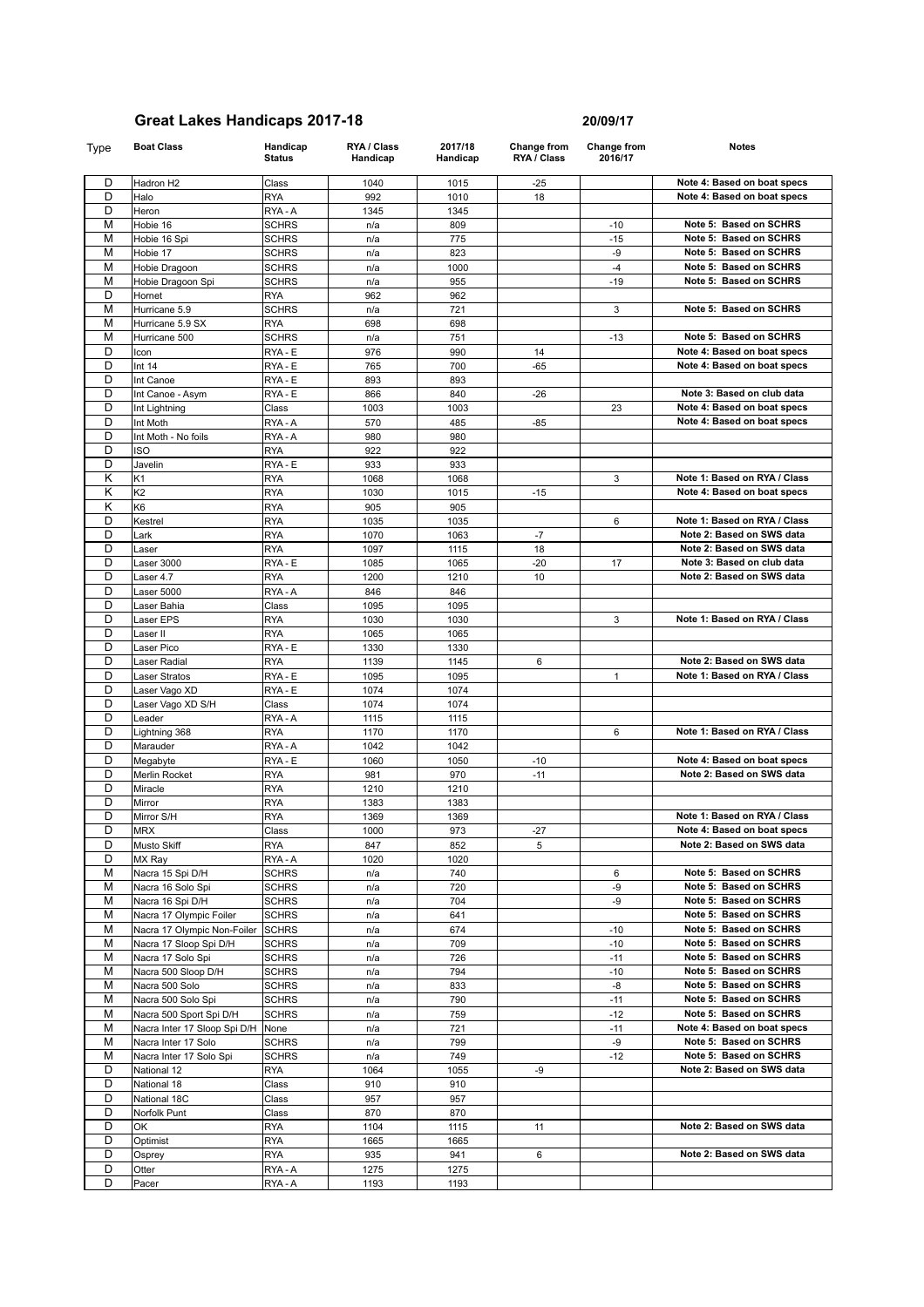**Status**

D Otter **RYA-A** 1275 1275 D Pacer RYA - A 1193 | 1193

**RYA / Class Handicap**

Type **Boat Class Handicap** 

D Hadron H2 Class 1040 1015 -25 **Note 4: Based on boat specs**<br>
D Halo RYA 992 1010 18 Note 4: Based on boat specs D Halo RYA 992 1010 18 **Note 4: Based on boat specs** D Heron RYA - A 1345 1345 M Hobie 16 SCHRS N/a 809 -10 Note 5: Based on SCHRS M Hobie 16 Spi SCHRS n/a 775 -15 Note 5: Based on SCHRS<br>
M Hobie 17 SCHRS n/a 823 -9 Note 5: Based on SCHRS M Hobie 17 SCHRS n/a 823 -9 Note 5: Based on SCHRS<br>
M Hobie Dragoon SCHRS n/a 1000 -4 Note 5: Based on SCHRS **Ma** 1000 -4 **Note 5: Based on SCHRS** n/a 1000 -4 **Note 5: Based on SCHRS** M Hobie Dragoon Spi SCHRS n/a 955 -19 Note 5: Based on SCHRS D Hornet **RYA** | 962 | 962 M Hurricane 5.9 SCHRS n/a 721 3 Note 5: Based on SCHRS<br>M Hurricane 5.9 SX RYA 698 698 698 M Hurricane 5.9 SX RYA<br>M Hurricane 500 SCHRS n/a 751 -13 Note 5: Based on SCHRS D Icon RYA - E 976 990 14 **Note 4: Based on boat specs**<br>
D Int 14 RYA - E 765 700 - 65 **Note 4: Based on boat specs Note 4: Based on boat specs** D |Int Canoe | RYA - E | 893 | 893

**2017/18 Handicap**

| υ              | Int Canoe                    | RYA - E      | 893  | 893  |       |              |                              |
|----------------|------------------------------|--------------|------|------|-------|--------------|------------------------------|
| D              | Int Canoe - Asym             | RYA - E      | 866  | 840  | $-26$ |              | Note 3: Based on club data   |
| D              | Int Lightning                | Class        | 1003 | 1003 |       | 23           | Note 4: Based on boat specs  |
| D              | Int Moth                     | RYA-A        | 570  | 485  | $-85$ |              | Note 4: Based on boat specs  |
| D              | Int Moth - No foils          | RYA-A        | 980  | 980  |       |              |                              |
| D              | <b>ISO</b>                   | <b>RYA</b>   | 922  | 922  |       |              |                              |
| D              | Javelin                      | RYA - E      | 933  | 933  |       |              |                              |
| Κ              | K1                           | <b>RYA</b>   | 1068 | 1068 |       | 3            | Note 1: Based on RYA / Class |
| Κ              | K <sub>2</sub>               | <b>RYA</b>   | 1030 | 1015 | $-15$ |              | Note 4: Based on boat specs  |
| Κ              | K6                           | <b>RYA</b>   | 905  | 905  |       |              |                              |
| D              | Kestrel                      | <b>RYA</b>   | 1035 | 1035 |       | 6            | Note 1: Based on RYA / Class |
| D              | Lark                         | <b>RYA</b>   | 1070 | 1063 | $-7$  |              | Note 2: Based on SWS data    |
| D              | Laser                        | <b>RYA</b>   | 1097 | 1115 | 18    |              | Note 2: Based on SWS data    |
| D              | Laser 3000                   | RYA - E      | 1085 | 1065 | $-20$ | 17           | Note 3: Based on club data   |
| D              | Laser 4.7                    | <b>RYA</b>   | 1200 | 1210 | 10    |              | Note 2: Based on SWS data    |
| D              | Laser 5000                   | RYA-A        | 846  | 846  |       |              |                              |
| D              | Laser Bahia                  | Class        | 1095 | 1095 |       |              |                              |
| D              | Laser EPS                    | <b>RYA</b>   | 1030 | 1030 |       | 3            | Note 1: Based on RYA / Class |
| D              | Laser II                     | <b>RYA</b>   | 1065 | 1065 |       |              |                              |
| D              | Laser Pico                   | RYA - E      | 1330 | 1330 |       |              |                              |
| D              | Laser Radial                 | <b>RYA</b>   | 1139 | 1145 | 6     |              | Note 2: Based on SWS data    |
| D              | Laser Stratos                | RYA - E      | 1095 | 1095 |       | $\mathbf{1}$ | Note 1: Based on RYA / Class |
| D              | Laser Vago XD                | RYA - E      | 1074 | 1074 |       |              |                              |
| D              | Laser Vago XD S/H            | Class        | 1074 | 1074 |       |              |                              |
| D              | Leader                       | RYA-A        | 1115 | 1115 |       |              |                              |
| D              | Lightning 368                | <b>RYA</b>   | 1170 | 1170 |       | 6            | Note 1: Based on RYA / Class |
| D              | Marauder                     | RYA - A      | 1042 | 1042 |       |              |                              |
| D              | Megabyte                     | RYA - E      | 1060 | 1050 | $-10$ |              | Note 4: Based on boat specs  |
| D              | Merlin Rocket                | <b>RYA</b>   | 981  | 970  | $-11$ |              | Note 2: Based on SWS data    |
| D              | Miracle                      | <b>RYA</b>   | 1210 | 1210 |       |              |                              |
| D              | Mirror                       | <b>RYA</b>   | 1383 | 1383 |       |              |                              |
| D              | Mirror S/H                   | <b>RYA</b>   | 1369 | 1369 |       |              | Note 1: Based on RYA / Class |
| D              | <b>MRX</b>                   | Class        | 1000 | 973  | $-27$ |              | Note 4: Based on boat specs  |
| D              | Musto Skiff                  | <b>RYA</b>   | 847  | 852  | 5     |              | Note 2: Based on SWS data    |
| D              | MX Ray                       | RYA - A      | 1020 | 1020 |       |              |                              |
| М              | Nacra 15 Spi D/H             | <b>SCHRS</b> | n/a  | 740  |       | 6            | Note 5: Based on SCHRS       |
| M              | Nacra 16 Solo Spi            | <b>SCHRS</b> | n/a  | 720  |       | -9           | Note 5: Based on SCHRS       |
| М              | Nacra 16 Spi D/H             | <b>SCHRS</b> | n/a  | 704  |       | -9           | Note 5: Based on SCHRS       |
| М              | Nacra 17 Olympic Foiler      | <b>SCHRS</b> | n/a  | 641  |       |              | Note 5: Based on SCHRS       |
| M              | Nacra 17 Olympic Non-Foiler  | <b>SCHRS</b> | n/a  | 674  |       | $-10$        | Note 5: Based on SCHRS       |
| M              | Nacra 17 Sloop Spi D/H       | <b>SCHRS</b> | n/a  | 709  |       | $-10$        | Note 5: Based on SCHRS       |
| М              | Nacra 17 Solo Spi            | SCHRS        | n/a  | 726  |       | $-11$        | Note 5: Based on SCHRS       |
| M              | Nacra 500 Sloop D/H          | SCHRS        | n/a  | 794  |       | $-10$        | Note 5: Based on SCHRS       |
| M              | Nacra 500 Solo               | <b>SCHRS</b> | n/a  | 833  |       | -8           | Note 5: Based on SCHRS       |
| M              | Nacra 500 Solo Spi           | <b>SCHRS</b> | n/a  | 790  |       | $-11$        | Note 5: Based on SCHRS       |
| М              | Nacra 500 Sport Spi D/H      | <b>SCHRS</b> | n/a  | 759  |       | $-12$        | Note 5: Based on SCHRS       |
| М              | Nacra Inter 17 Sloop Spi D/H | None         | n/a  | 721  |       | $-11$        | Note 4: Based on boat specs  |
| M              | Nacra Inter 17 Solo          | <b>SCHRS</b> | n/a  | 799  |       | -9           | Note 5: Based on SCHRS       |
| M              | Nacra Inter 17 Solo Spi      | <b>SCHRS</b> | n/a  | 749  |       | $-12$        | Note 5: Based on SCHRS       |
| D              | National 12                  | <b>RYA</b>   | 1064 | 1055 | -9    |              | Note 2: Based on SWS data    |
| D              | National 18                  | Class        | 910  | 910  |       |              |                              |
| D              | National 18C                 | Class        | 957  | 957  |       |              |                              |
| D              | Norfolk Punt                 | Class        | 870  | 870  |       |              |                              |
| D              | OK                           | <b>RYA</b>   | 1104 | 1115 | 11    |              | Note 2: Based on SWS data    |
| D              | Optimist                     | <b>RYA</b>   | 1665 | 1665 |       |              |                              |
| D              | Osprey                       | <b>RYA</b>   | 935  | 941  | 6     |              | Note 2: Based on SWS data    |
| $\overline{D}$ | Otter                        | RYA - A      | 1275 | 1275 |       |              |                              |

**Change from 2016/17**

**Notes**

**Change from RYA / Class**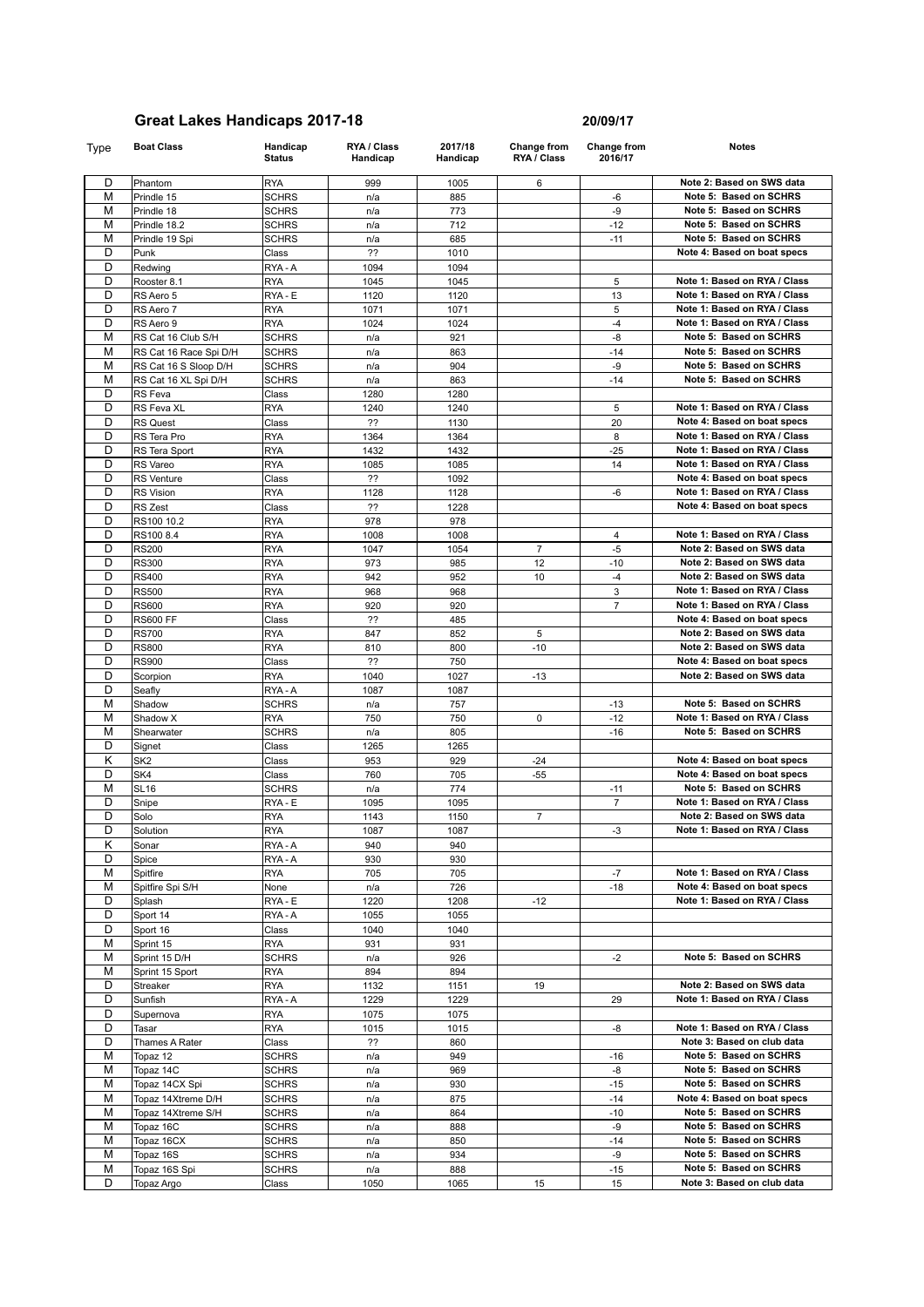| Type           | <b>Boat Class</b>      | Handicap<br><b>Status</b> | RYA / Class<br>Handicap | 2017/18<br>Handicap | <b>Change from</b><br>RYA / Class | <b>Change from</b><br>2016/17 | <b>Notes</b>                 |
|----------------|------------------------|---------------------------|-------------------------|---------------------|-----------------------------------|-------------------------------|------------------------------|
| D              | Phantom                | <b>RYA</b>                | 999                     | 1005                | 6                                 |                               | Note 2: Based on SWS data    |
| M              | Prindle 15             | <b>SCHRS</b>              | n/a                     | 885                 |                                   | $-6$                          | Note 5: Based on SCHRS       |
| M              | Prindle 18             | <b>SCHRS</b>              | n/a                     | 773                 |                                   | -9                            | Note 5: Based on SCHRS       |
| M              | Prindle 18.2           | SCHRS                     | n/a                     | 712                 |                                   | $-12$                         | Note 5: Based on SCHRS       |
| $\overline{M}$ | Prindle 19 Spi         | SCHRS                     | n/a                     | 685                 |                                   | $-11$                         | Note 5: Based on SCHRS       |
| D              | Punk                   | Class                     | ??                      | 1010                |                                   |                               | Note 4: Based on boat specs  |
| D              | Redwing                | RYA - A                   | 1094                    | 1094                |                                   |                               |                              |
| D              | Rooster 8.1            | <b>RYA</b>                | 1045                    | 1045                |                                   | 5                             | Note 1: Based on RYA / Class |
| D              | RS Aero 5              | RYA - E                   | 1120                    | 1120                |                                   | 13                            | Note 1: Based on RYA / Class |
| D              | RS Aero 7              | <b>RYA</b>                | 1071                    | 1071                |                                   | 5                             | Note 1: Based on RYA / Class |
| D              | RS Aero 9              | <b>RYA</b>                | 1024                    | 1024                |                                   | $-4$                          | Note 1: Based on RYA / Class |
| M              | RS Cat 16 Club S/H     | <b>SCHRS</b>              | n/a                     | 921                 |                                   | $-8$                          | Note 5: Based on SCHRS       |
| M              | RS Cat 16 Race Spi D/H | <b>SCHRS</b>              | n/a                     | 863                 |                                   | $-14$                         | Note 5: Based on SCHRS       |
| M              | RS Cat 16 S Sloop D/H  | <b>SCHRS</b>              | n/a                     | 904                 |                                   | -9                            | Note 5: Based on SCHRS       |
| М              | RS Cat 16 XL Spi D/H   | <b>SCHRS</b>              | n/a                     | 863                 |                                   | $-14$                         | Note 5: Based on SCHRS       |
| D              | <b>RS</b> Feva         | Class                     | 1280                    | 1280                |                                   |                               |                              |
| D              | RS Feva XL             | <b>RYA</b>                | 1240                    | 1240                |                                   | 5                             | Note 1: Based on RYA / Class |
| D              | <b>RS Quest</b>        | Class                     | ??                      | 1130                |                                   | 20                            | Note 4: Based on boat specs  |
| D              | RS Tera Pro            | <b>RYA</b>                | 1364                    | 1364                |                                   | 8                             | Note 1: Based on RYA / Class |
| D              | RS Tera Sport          | <b>RYA</b>                | 1432                    | 1432                |                                   | $-25$                         | Note 1: Based on RYA / Class |
| D              | RS Vareo               | <b>RYA</b>                | 1085                    | 1085                |                                   | 14                            | Note 1: Based on RYA / Class |
| D              | <b>RS</b> Venture      | Class                     | ??                      | 1092                |                                   |                               | Note 4: Based on boat specs  |
| D              | <b>RS Vision</b>       | <b>RYA</b>                | 1128                    | 1128                |                                   | -6                            | Note 1: Based on RYA / Class |
| D              | <b>RS Zest</b>         | Class                     | ??                      | 1228                |                                   |                               | Note 4: Based on boat specs  |
| D              | RS100 10.2             | <b>RYA</b>                | 978                     | 978                 |                                   |                               |                              |
| D              | RS100 8.4              | <b>RYA</b>                | 1008                    | 1008                |                                   | 4                             | Note 1: Based on RYA / Class |
| D              | <b>RS200</b>           | <b>RYA</b>                | 1047                    | 1054                | $\overline{7}$                    | $-5$                          | Note 2: Based on SWS data    |
| D              | <b>RS300</b>           | <b>RYA</b>                | 973                     | 985                 | 12                                | $-10$                         | Note 2: Based on SWS data    |
| D              | <b>RS400</b>           | <b>RYA</b>                | 942                     | 952                 | 10                                | $-4$                          | Note 2: Based on SWS data    |
| D              | <b>RS500</b>           | <b>RYA</b>                | 968                     | 968                 |                                   | 3                             | Note 1: Based on RYA / Class |
| D              | <b>RS600</b>           | <b>RYA</b>                | 920                     | 920                 |                                   | $\overline{7}$                | Note 1: Based on RYA / Class |
| D              | <b>RS600 FF</b>        | Class                     | ??                      | 485                 |                                   |                               | Note 4: Based on boat specs  |
| D              | <b>RS700</b>           | <b>RYA</b>                | 847                     | 852                 | 5                                 |                               | Note 2: Based on SWS data    |
| D              | <b>RS800</b>           | <b>RYA</b>                | 810                     | 800                 | $-10$                             |                               | Note 2: Based on SWS data    |
| D              | <b>RS900</b>           | Class                     | ??                      | 750                 |                                   |                               | Note 4: Based on boat specs  |
| D              | Scorpion               | <b>RYA</b>                | 1040                    | 1027                | -13                               |                               | Note 2: Based on SWS data    |
| D              | Seafly                 | RYA-A                     | 1087                    | 1087                |                                   |                               |                              |
| M              | Shadow                 | <b>SCHRS</b>              | n/a                     | 757                 |                                   | $-13$                         | Note 5: Based on SCHRS       |
| M              | Shadow X               | <b>RYA</b>                | 750                     | 750                 | $\Omega$                          | $-12$                         | Note 1: Based on RYA / Class |
| M              | Shearwater             | <b>SCHRS</b>              | n/a                     | 805                 |                                   | $-16$                         | Note 5: Based on SCHRS       |

| -                       | <b>OUUILY</b>      | .            | .    | $\sim$ |                |                |                              |
|-------------------------|--------------------|--------------|------|--------|----------------|----------------|------------------------------|
| M                       | Shadow             | <b>SCHRS</b> | n/a  | 757    |                | $-13$          | Note 5: Based on SCHRS       |
| M                       | Shadow X           | <b>RYA</b>   | 750  | 750    | 0              | $-12$          | Note 1: Based on RYA / Class |
| M                       | Shearwater         | <b>SCHRS</b> | n/a  | 805    |                | $-16$          | Note 5: Based on SCHRS       |
| D                       | Signet             | Class        | 1265 | 1265   |                |                |                              |
| $\overline{\mathsf{K}}$ | SK <sub>2</sub>    | Class        | 953  | 929    | $-24$          |                | Note 4: Based on boat specs  |
| D                       | SK4                | Class        | 760  | 705    | $-55$          |                | Note 4: Based on boat specs  |
| M                       | <b>SL16</b>        | <b>SCHRS</b> | n/a  | 774    |                | $-11$          | Note 5: Based on SCHRS       |
| D                       | Snipe              | RYA - E      | 1095 | 1095   |                | $\overline{7}$ | Note 1: Based on RYA / Class |
| D                       | Solo               | <b>RYA</b>   | 1143 | 1150   | $\overline{7}$ |                | Note 2: Based on SWS data    |
| D                       | Solution           | <b>RYA</b>   | 1087 | 1087   |                | $-3$           | Note 1: Based on RYA / Class |
| Κ                       | Sonar              | RYA - A      | 940  | 940    |                |                |                              |
| D                       | Spice              | RYA-A        | 930  | 930    |                |                |                              |
| M                       | Spitfire           | <b>RYA</b>   | 705  | 705    |                | $-7$           | Note 1: Based on RYA / Class |
| M                       | Spitfire Spi S/H   | None         | n/a  | 726    |                | $-18$          | Note 4: Based on boat specs  |
| D                       | Splash             | RYA - E      | 1220 | 1208   | $-12$          |                | Note 1: Based on RYA / Class |
| D                       | Sport 14           | RYA-A        | 1055 | 1055   |                |                |                              |
| D                       | Sport 16           | Class        | 1040 | 1040   |                |                |                              |
| M                       | Sprint 15          | <b>RYA</b>   | 931  | 931    |                |                |                              |
| M                       | Sprint 15 D/H      | <b>SCHRS</b> | n/a  | 926    |                | $-2$           | Note 5: Based on SCHRS       |
| M                       | Sprint 15 Sport    | <b>RYA</b>   | 894  | 894    |                |                |                              |
| D                       | Streaker           | <b>RYA</b>   | 1132 | 1151   | 19             |                | Note 2: Based on SWS data    |
| D                       | Sunfish            | RYA - A      | 1229 | 1229   |                | 29             | Note 1: Based on RYA / Class |
| D                       | Supernova          | <b>RYA</b>   | 1075 | 1075   |                |                |                              |
| D                       | Tasar              | <b>RYA</b>   | 1015 | 1015   |                | -8             | Note 1: Based on RYA / Class |
| D                       | Thames A Rater     | Class        | ??   | 860    |                |                | Note 3: Based on club data   |
| M                       | Topaz 12           | <b>SCHRS</b> | n/a  | 949    |                | $-16$          | Note 5: Based on SCHRS       |
| M                       | Topaz 14C          | <b>SCHRS</b> | n/a  | 969    |                | $-8$           | Note 5: Based on SCHRS       |
| M                       | Topaz 14CX Spi     | <b>SCHRS</b> | n/a  | 930    |                | $-15$          | Note 5: Based on SCHRS       |
| M                       | Topaz 14Xtreme D/H | <b>SCHRS</b> | n/a  | 875    |                | $-14$          | Note 4: Based on boat specs  |
| M                       | Topaz 14Xtreme S/H | <b>SCHRS</b> | n/a  | 864    |                | $-10$          | Note 5: Based on SCHRS       |
| M                       | Topaz 16C          | <b>SCHRS</b> | n/a  | 888    |                | $-9$           | Note 5: Based on SCHRS       |
| M                       | Topaz 16CX         | <b>SCHRS</b> | n/a  | 850    |                | $-14$          | Note 5: Based on SCHRS       |
| M                       | Topaz 16S          | <b>SCHRS</b> | n/a  | 934    |                | $-9$           | Note 5: Based on SCHRS       |
| M                       | Topaz 16S Spi      | <b>SCHRS</b> | n/a  | 888    |                | $-15$          | Note 5: Based on SCHRS       |
| D                       | Topaz Argo         | Class        | 1050 | 1065   | 15             | 15             | Note 3: Based on club data   |